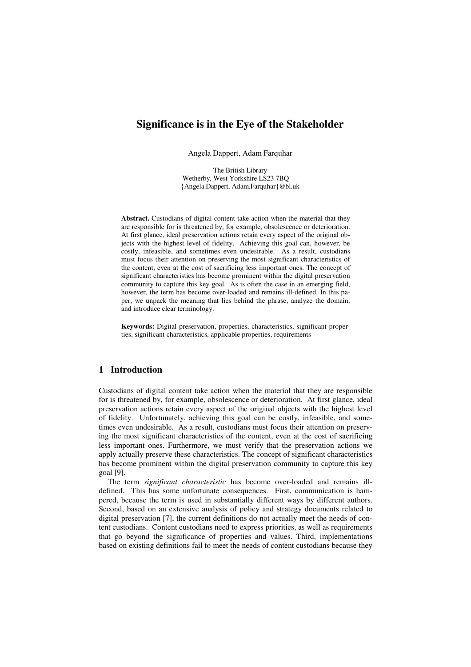# **Significance is in the Eye of the Stakeholder**

Angela Dappert, Adam Farquhar

The British Library Wetherby, West Yorkshire LS23 7BQ {Angela.Dappert, Adam.Farquhar}@bl.uk

**Abstract.** Custodians of digital content take action when the material that they are responsible for is threatened by, for example, obsolescence or deterioration. At first glance, ideal preservation actions retain every aspect of the original objects with the highest level of fidelity. Achieving this goal can, however, be costly, infeasible, and sometimes even undesirable. As a result, custodians must focus their attention on preserving the most significant characteristics of the content, even at the cost of sacrificing less important ones. The concept of significant characteristics has become prominent within the digital preservation community to capture this key goal. As is often the case in an emerging field, however, the term has become over-loaded and remains ill-defined. In this paper, we unpack the meaning that lies behind the phrase, analyze the domain, and introduce clear terminology.

**Keywords:** Digital preservation, properties, characteristics, significant properties, significant characteristics, applicable properties, requirements

## **1 Introduction**

Custodians of digital content take action when the material that they are responsible for is threatened by, for example, obsolescence or deterioration. At first glance, ideal preservation actions retain every aspect of the original objects with the highest level of fidelity. Unfortunately, achieving this goal can be costly, infeasible, and sometimes even undesirable. As a result, custodians must focus their attention on preserving the most significant characteristics of the content, even at the cost of sacrificing less important ones. Furthermore, we must verify that the preservation actions we apply actually preserve these characteristics. The concept of significant characteristics has become prominent within the digital preservation community to capture this key goal [9].

The term *significant characteristic* has become over-loaded and remains illdefined. This has some unfortunate consequences. First, communication is hampered, because the term is used in substantially different ways by different authors. Second, based on an extensive analysis of policy and strategy documents related to digital preservation [7], the current definitions do not actually meet the needs of content custodians. Content custodians need to express priorities, as well as requirements that go beyond the significance of properties and values. Third, implementations based on existing definitions fail to meet the needs of content custodians because they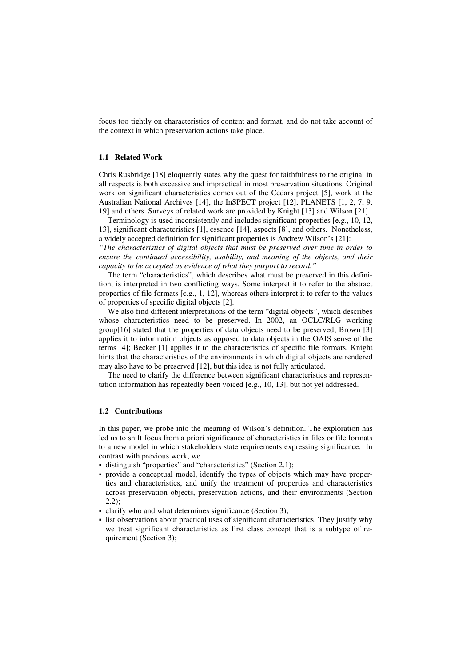focus too tightly on characteristics of content and format, and do not take account of the context in which preservation actions take place.

## **1.1 Related Work**

Chris Rusbridge [18] eloquently states why the quest for faithfulness to the original in all respects is both excessive and impractical in most preservation situations. Original work on significant characteristics comes out of the Cedars project [5], work at the Australian National Archives [14], the InSPECT project [12], PLANETS [1, 2, 7, 9, 19] and others. Surveys of related work are provided by Knight [13] and Wilson [21].

Terminology is used inconsistently and includes significant properties [e.g., 10, 12, 13], significant characteristics [1], essence [14], aspects [8], and others. Nonetheless, a widely accepted definition for significant properties is Andrew Wilson's [21]: *"The characteristics of digital objects that must be preserved over time in order to* 

*ensure the continued accessibility, usability, and meaning of the objects, and their capacity to be accepted as evidence of what they purport to record."* 

The term "characteristics", which describes what must be preserved in this definition, is interpreted in two conflicting ways. Some interpret it to refer to the abstract properties of file formats  $[e.g., 1, 12]$ , whereas others interpret it to refer to the values of properties of specific digital objects [2].

We also find different interpretations of the term "digital objects", which describes whose characteristics need to be preserved. In 2002, an OCLC/RLG working group[16] stated that the properties of data objects need to be preserved; Brown [3] applies it to information objects as opposed to data objects in the OAIS sense of the terms [4]; Becker [1] applies it to the characteristics of specific file formats. Knight hints that the characteristics of the environments in which digital objects are rendered may also have to be preserved [12], but this idea is not fully articulated.

The need to clarify the difference between significant characteristics and representation information has repeatedly been voiced [e.g., 10, 13], but not yet addressed.

### **1.2 Contributions**

In this paper, we probe into the meaning of Wilson's definition. The exploration has led us to shift focus from a priori significance of characteristics in files or file formats to a new model in which stakeholders state requirements expressing significance. In contrast with previous work, we

- distinguish "properties" and "characteristics" (Section 2.1);
- provide a conceptual model, identify the types of objects which may have properties and characteristics, and unify the treatment of properties and characteristics across preservation objects, preservation actions, and their environments (Section 2.2);
- clarify who and what determines significance (Section 3);
- list observations about practical uses of significant characteristics. They justify why we treat significant characteristics as first class concept that is a subtype of requirement (Section 3);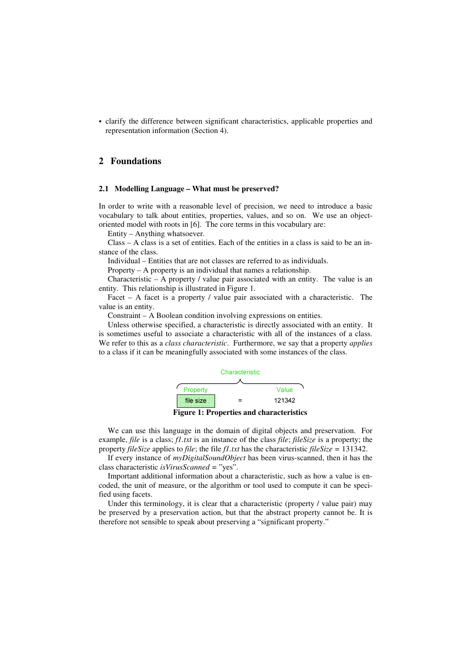clarify the difference between significant characteristics, applicable properties and representation information (Section 4).

## **2 Foundations**

### **2.1 Modelling Language – What must be preserved?**

In order to write with a reasonable level of precision, we need to introduce a basic vocabulary to talk about entities, properties, values, and so on. We use an objectoriented model with roots in [6]. The core terms in this vocabulary are:

Entity – Anything whatsoever.

 $Class - A class$  is a set of entities. Each of the entities in a class is said to be an instance of the class.

Individual – Entities that are not classes are referred to as individuals.

Property – A property is an individual that names a relationship.

Characteristic – A property / value pair associated with an entity. The value is an entity. This relationship is illustrated in Figure 1.

Facet – A facet is a property / value pair associated with a characteristic. The value is an entity.

Constraint – A Boolean condition involving expressions on entities.

Unless otherwise specified, a characteristic is directly associated with an entity. It is sometimes useful to associate a characteristic with all of the instances of a class. We refer to this as a *class characteristic*. Furthermore, we say that a property *applies* to a class if it can be meaningfully associated with some instances of the class.

|           | Characteristic |        |
|-----------|----------------|--------|
|           |                |        |
| Property  |                | Value  |
| file size |                | 121342 |
|           |                |        |

**Figure 1: Properties and characteristics** 

We can use this language in the domain of digital objects and preservation. For example, *file* is a class; *f1.txt* is an instance of the class *file*; *fileSize* is a property; the property *fileSize* applies to *file*; the file *f1.txt* has the characteristic *fileSize =* 131342.

If every instance of *myDigitalSoundObject* has been virus-scanned, then it has the class characteristic *isVirusScanned =* "yes".

Important additional information about a characteristic, such as how a value is encoded, the unit of measure, or the algorithm or tool used to compute it can be specified using facets.

Under this terminology, it is clear that a characteristic (property / value pair) may be preserved by a preservation action, but that the abstract property cannot be. It is therefore not sensible to speak about preserving a "significant property."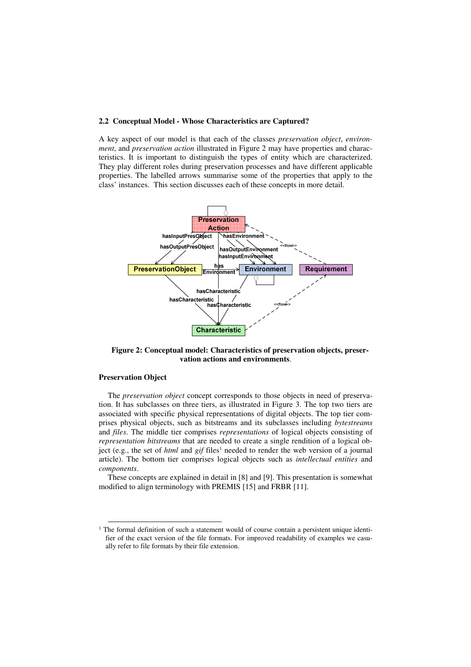### **2.2 Conceptual Model - Whose Characteristics are Captured?**

A key aspect of our model is that each of the classes *preservation object*, *environment*, and *preservation action* illustrated in Figure 2 may have properties and characteristics. It is important to distinguish the types of entity which are characterized. They play different roles during preservation processes and have different applicable properties. The labelled arrows summarise some of the properties that apply to the class' instances. This section discusses each of these concepts in more detail.



**Figure 2: Conceptual model: Characteristics of preservation objects, preservation actions and environments**.

## **Preservation Object**

 $\overline{a}$ 

The *preservation object* concept corresponds to those objects in need of preservation. It has subclasses on three tiers, as illustrated in Figure 3. The top two tiers are associated with specific physical representations of digital objects. The top tier comprises physical objects, such as bitstreams and its subclasses including *bytestreams* and *files*. The middle tier comprises *representations* of logical objects consisting of *representation bitstreams* that are needed to create a single rendition of a logical object (e.g., the set of *html* and *gif* files<sup>1</sup> needed to render the web version of a journal article). The bottom tier comprises logical objects such as *intellectual entities* and *components*.

These concepts are explained in detail in [8] and [9]. This presentation is somewhat modified to align terminology with PREMIS [15] and FRBR [11].

<sup>&</sup>lt;sup>1</sup> The formal definition of such a statement would of course contain a persistent unique identifier of the exact version of the file formats. For improved readability of examples we casually refer to file formats by their file extension.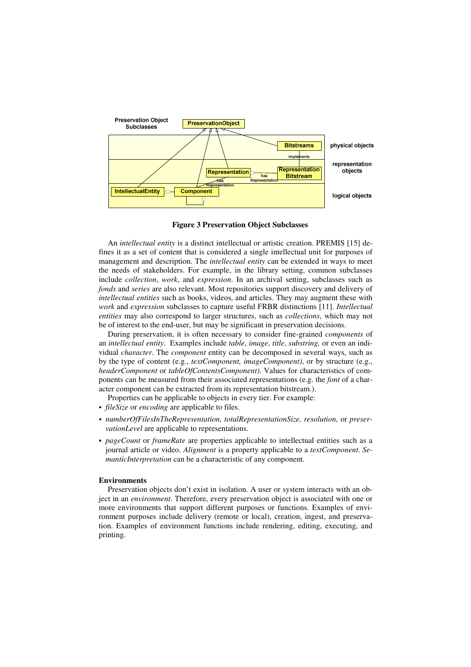

**Figure 3 Preservation Object Subclasses** 

An *intellectual entity* is a distinct intellectual or artistic creation. PREMIS [15] defines it as a set of content that is considered a single intellectual unit for purposes of management and description. The *intellectual entity* can be extended in ways to meet the needs of stakeholders. For example, in the library setting, common subclasses include *collection*, *work*, and *expression*. In an archival setting, subclasses such as *fonds* and *series* are also relevant. Most repositories support discovery and delivery of *intellectual entities* such as books, videos, and articles. They may augment these with *work* and *expression* subclasses to capture useful FRBR distinctions [11]. *Intellectual entities* may also correspond to larger structures, such as *collections*, which may not be of interest to the end-user, but may be significant in preservation decisions.

During preservation, it is often necessary to consider fine-grained *components* of an *intellectual entity*. Examples include *table*, *image*, *title*, *substring,* or even an individual *character*. The *component* entity can be decomposed in several ways, such as by the type of content (e.g., *textComponent, imageComponent)*, or by structure (e.g., *headerComponent* or *tableOfContentsComponent)*. Values for characteristics of components can be measured from their associated representations (e.g. the *font* of a character component can be extracted from its representation bitstream.).

Properties can be applicable to objects in every tier. For example:

- *fileSize* or *encoding* are applicable to files.
- *numberOfFilesInTheRepresentation, totalRepresentationSize, resolution,* or *preservationLevel* are applicable to representations.
- *pageCount* or *frameRate* are properties applicable to intellectual entities such as a journal article or video. *Alignment* is a property applicable to a *textComponent*. *SemanticInterpretation* can be a characteristic of any component*.*

## **Environments**

Preservation objects don't exist in isolation. A user or system interacts with an object in an *environment*. Therefore, every preservation object is associated with one or more environments that support different purposes or functions. Examples of environment purposes include delivery (remote or local), creation, ingest, and preservation. Examples of environment functions include rendering, editing, executing, and printing.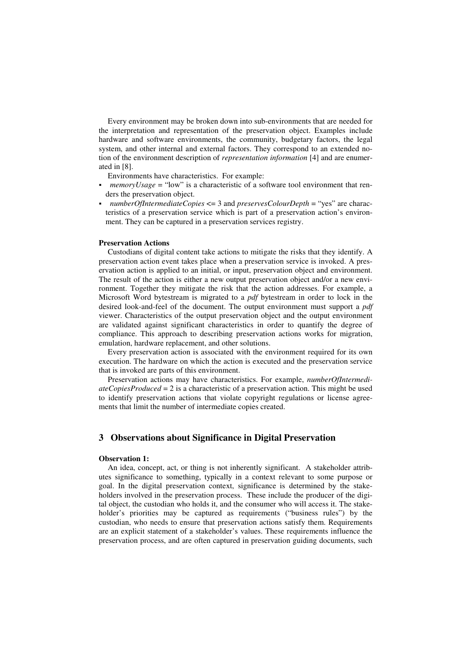Every environment may be broken down into sub-environments that are needed for the interpretation and representation of the preservation object. Examples include hardware and software environments, the community, budgetary factors, the legal system, and other internal and external factors. They correspond to an extended notion of the environment description of *representation information* [4] and are enumerated in [8].

Environments have characteristics. For example:

- *memoryUsage* = "low" is a characteristic of a software tool environment that renders the preservation object.
- *numberOfIntermediateCopies* <= 3 and *preservesColourDepth* = "yes" are characteristics of a preservation service which is part of a preservation action's environment. They can be captured in a preservation services registry.

### **Preservation Actions**

Custodians of digital content take actions to mitigate the risks that they identify. A preservation action event takes place when a preservation service is invoked. A preservation action is applied to an initial, or input, preservation object and environment. The result of the action is either a new output preservation object and/or a new environment. Together they mitigate the risk that the action addresses. For example, a Microsoft Word bytestream is migrated to a *pdf* bytestream in order to lock in the desired look-and-feel of the document. The output environment must support a *pdf* viewer. Characteristics of the output preservation object and the output environment are validated against significant characteristics in order to quantify the degree of compliance. This approach to describing preservation actions works for migration, emulation, hardware replacement, and other solutions.

Every preservation action is associated with the environment required for its own execution. The hardware on which the action is executed and the preservation service that is invoked are parts of this environment.

Preservation actions may have characteristics. For example, *numberOfIntermedi* $ateConiesProduced = 2$  is a characteristic of a preservation action. This might be used to identify preservation actions that violate copyright regulations or license agreements that limit the number of intermediate copies created.

## **3 Observations about Significance in Digital Preservation**

#### **Observation 1:**

An idea, concept, act, or thing is not inherently significant. A stakeholder attributes significance to something, typically in a context relevant to some purpose or goal. In the digital preservation context, significance is determined by the stakeholders involved in the preservation process. These include the producer of the digital object, the custodian who holds it, and the consumer who will access it. The stakeholder's priorities may be captured as requirements ("business rules") by the custodian, who needs to ensure that preservation actions satisfy them. Requirements are an explicit statement of a stakeholder's values. These requirements influence the preservation process, and are often captured in preservation guiding documents, such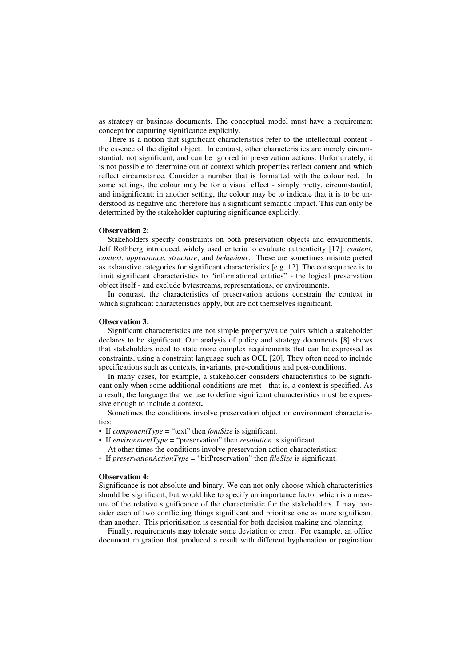as strategy or business documents. The conceptual model must have a requirement concept for capturing significance explicitly.

There is a notion that significant characteristics refer to the intellectual content the essence of the digital object. In contrast, other characteristics are merely circumstantial, not significant, and can be ignored in preservation actions. Unfortunately, it is not possible to determine out of context which properties reflect content and which reflect circumstance. Consider a number that is formatted with the colour red. In some settings, the colour may be for a visual effect - simply pretty, circumstantial, and insignificant; in another setting, the colour may be to indicate that it is to be understood as negative and therefore has a significant semantic impact. This can only be determined by the stakeholder capturing significance explicitly.

#### **Observation 2:**

Stakeholders specify constraints on both preservation objects and environments. Jeff Rothberg introduced widely used criteria to evaluate authenticity [17]: *content*, *context*, *appearance*, *structure*, and *behaviour*. These are sometimes misinterpreted as exhaustive categories for significant characteristics [e.g. 12]. The consequence is to limit significant characteristics to "informational entities" - the logical preservation object itself - and exclude bytestreams, representations, or environments.

In contrast, the characteristics of preservation actions constrain the context in which significant characteristics apply, but are not themselves significant.

#### **Observation 3:**

Significant characteristics are not simple property/value pairs which a stakeholder declares to be significant. Our analysis of policy and strategy documents [8] shows that stakeholders need to state more complex requirements that can be expressed as constraints, using a constraint language such as OCL [20]. They often need to include specifications such as contexts, invariants, pre-conditions and post-conditions.

In many cases, for example, a stakeholder considers characteristics to be significant only when some additional conditions are met - that is, a context is specified. As a result, the language that we use to define significant characteristics must be expressive enough to include a context**.** 

Sometimes the conditions involve preservation object or environment characteristics:

- If *componentType* = "text" then *fontSize* is significant.
- If *environmentType* = "preservation" then *resolution* is significant*.*
- At other times the conditions involve preservation action characteristics:
- If *preservationActionType* = "bitPreservation" then *fileSize* is significant.

#### **Observation 4:**

Significance is not absolute and binary. We can not only choose which characteristics should be significant, but would like to specify an importance factor which is a measure of the relative significance of the characteristic for the stakeholders. I may consider each of two conflicting things significant and prioritise one as more significant than another. This prioritisation is essential for both decision making and planning.

Finally, requirements may tolerate some deviation or error. For example, an office document migration that produced a result with different hyphenation or pagination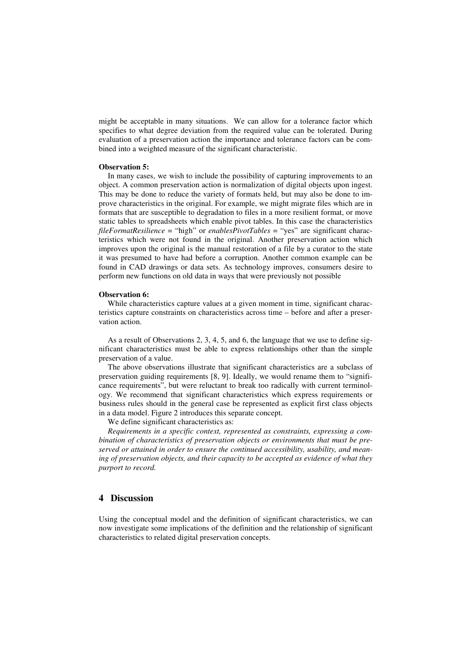might be acceptable in many situations. We can allow for a tolerance factor which specifies to what degree deviation from the required value can be tolerated. During evaluation of a preservation action the importance and tolerance factors can be combined into a weighted measure of the significant characteristic.

### **Observation 5:**

In many cases, we wish to include the possibility of capturing improvements to an object. A common preservation action is normalization of digital objects upon ingest. This may be done to reduce the variety of formats held, but may also be done to improve characteristics in the original. For example, we might migrate files which are in formats that are susceptible to degradation to files in a more resilient format, or move static tables to spreadsheets which enable pivot tables. In this case the characteristics *fileFormatResilience* = "high" or *enablesPivotTables* = "yes" are significant characteristics which were not found in the original. Another preservation action which improves upon the original is the manual restoration of a file by a curator to the state it was presumed to have had before a corruption. Another common example can be found in CAD drawings or data sets. As technology improves, consumers desire to perform new functions on old data in ways that were previously not possible

### **Observation 6:**

While characteristics capture values at a given moment in time, significant characteristics capture constraints on characteristics across time – before and after a preservation action.

As a result of Observations 2, 3, 4, 5, and 6, the language that we use to define significant characteristics must be able to express relationships other than the simple preservation of a value.

The above observations illustrate that significant characteristics are a subclass of preservation guiding requirements [8, 9]. Ideally, we would rename them to "significance requirements", but were reluctant to break too radically with current terminology. We recommend that significant characteristics which express requirements or business rules should in the general case be represented as explicit first class objects in a data model. Figure 2 introduces this separate concept.

We define significant characteristics as:

*Requirements in a specific context, represented as constraints, expressing a combination of characteristics of preservation objects or environments that must be preserved or attained in order to ensure the continued accessibility, usability, and meaning of preservation objects, and their capacity to be accepted as evidence of what they purport to record.* 

## **4 Discussion**

Using the conceptual model and the definition of significant characteristics, we can now investigate some implications of the definition and the relationship of significant characteristics to related digital preservation concepts.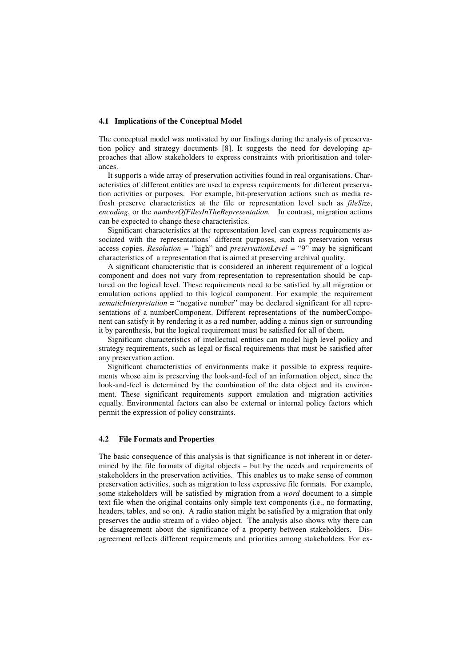### **4.1 Implications of the Conceptual Model**

The conceptual model was motivated by our findings during the analysis of preservation policy and strategy documents [8]. It suggests the need for developing approaches that allow stakeholders to express constraints with prioritisation and tolerances.

It supports a wide array of preservation activities found in real organisations. Characteristics of different entities are used to express requirements for different preservation activities or purposes. For example, bit-preservation actions such as media refresh preserve characteristics at the file or representation level such as *fileSize*, *encoding*, or the *numberOfFilesInTheRepresentation.* In contrast, migration actions can be expected to change these characteristics.

Significant characteristics at the representation level can express requirements associated with the representations' different purposes, such as preservation versus access copies. *Resolution* = "high" and *preservationLevel* = "9" may be significant characteristics of a representation that is aimed at preserving archival quality.

A significant characteristic that is considered an inherent requirement of a logical component and does not vary from representation to representation should be captured on the logical level. These requirements need to be satisfied by all migration or emulation actions applied to this logical component. For example the requirement *sematicInterpretation* = "negative number" may be declared significant for all representations of a numberComponent. Different representations of the numberComponent can satisfy it by rendering it as a red number, adding a minus sign or surrounding it by parenthesis, but the logical requirement must be satisfied for all of them.

Significant characteristics of intellectual entities can model high level policy and strategy requirements, such as legal or fiscal requirements that must be satisfied after any preservation action.

Significant characteristics of environments make it possible to express requirements whose aim is preserving the look-and-feel of an information object, since the look-and-feel is determined by the combination of the data object and its environment. These significant requirements support emulation and migration activities equally. Environmental factors can also be external or internal policy factors which permit the expression of policy constraints.

#### **4.2 File Formats and Properties**

The basic consequence of this analysis is that significance is not inherent in or determined by the file formats of digital objects – but by the needs and requirements of stakeholders in the preservation activities. This enables us to make sense of common preservation activities, such as migration to less expressive file formats. For example, some stakeholders will be satisfied by migration from a *word* document to a simple text file when the original contains only simple text components (i.e., no formatting, headers, tables, and so on). A radio station might be satisfied by a migration that only preserves the audio stream of a video object. The analysis also shows why there can be disagreement about the significance of a property between stakeholders. Disagreement reflects different requirements and priorities among stakeholders. For ex-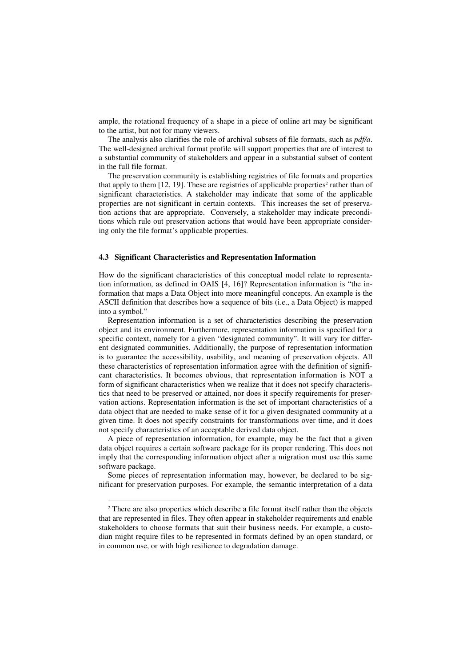ample, the rotational frequency of a shape in a piece of online art may be significant to the artist, but not for many viewers.

The analysis also clarifies the role of archival subsets of file formats, such as *pdf/a*. The well-designed archival format profile will support properties that are of interest to a substantial community of stakeholders and appear in a substantial subset of content in the full file format.

The preservation community is establishing registries of file formats and properties that apply to them  $[12, 19]$ . These are registries of applicable properties<sup>2</sup> rather than of significant characteristics. A stakeholder may indicate that some of the applicable properties are not significant in certain contexts. This increases the set of preservation actions that are appropriate. Conversely, a stakeholder may indicate preconditions which rule out preservation actions that would have been appropriate considering only the file format's applicable properties.

### **4.3 Significant Characteristics and Representation Information**

How do the significant characteristics of this conceptual model relate to representation information, as defined in OAIS [4, 16]? Representation information is "the information that maps a Data Object into more meaningful concepts. An example is the ASCII definition that describes how a sequence of bits (i.e., a Data Object) is mapped into a symbol."

Representation information is a set of characteristics describing the preservation object and its environment. Furthermore, representation information is specified for a specific context, namely for a given "designated community". It will vary for different designated communities. Additionally, the purpose of representation information is to guarantee the accessibility, usability, and meaning of preservation objects. All these characteristics of representation information agree with the definition of significant characteristics. It becomes obvious, that representation information is NOT a form of significant characteristics when we realize that it does not specify characteristics that need to be preserved or attained, nor does it specify requirements for preservation actions. Representation information is the set of important characteristics of a data object that are needed to make sense of it for a given designated community at a given time. It does not specify constraints for transformations over time, and it does not specify characteristics of an acceptable derived data object.

A piece of representation information, for example, may be the fact that a given data object requires a certain software package for its proper rendering. This does not imply that the corresponding information object after a migration must use this same software package.

Some pieces of representation information may, however, be declared to be significant for preservation purposes. For example, the semantic interpretation of a data

 $\overline{a}$ 

<sup>&</sup>lt;sup>2</sup> There are also properties which describe a file format itself rather than the objects that are represented in files. They often appear in stakeholder requirements and enable stakeholders to choose formats that suit their business needs. For example, a custodian might require files to be represented in formats defined by an open standard, or in common use, or with high resilience to degradation damage.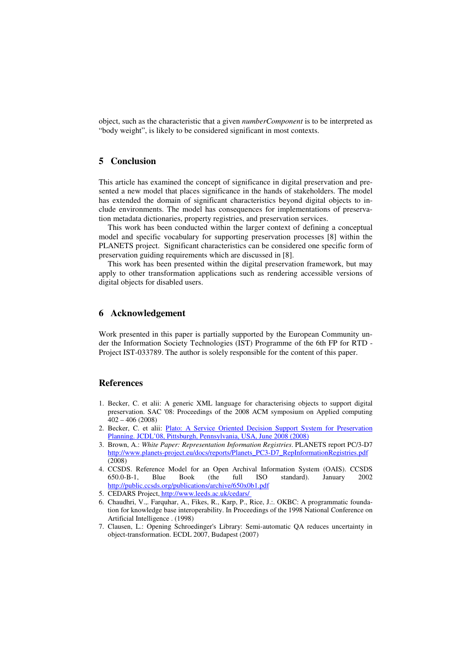object, such as the characteristic that a given *numberComponent* is to be interpreted as "body weight", is likely to be considered significant in most contexts.

## **5 Conclusion**

This article has examined the concept of significance in digital preservation and presented a new model that places significance in the hands of stakeholders. The model has extended the domain of significant characteristics beyond digital objects to include environments. The model has consequences for implementations of preservation metadata dictionaries, property registries, and preservation services.

This work has been conducted within the larger context of defining a conceptual model and specific vocabulary for supporting preservation processes [8] within the PLANETS project. Significant characteristics can be considered one specific form of preservation guiding requirements which are discussed in [8].

This work has been presented within the digital preservation framework, but may apply to other transformation applications such as rendering accessible versions of digital objects for disabled users.

## **6 Acknowledgement**

Work presented in this paper is partially supported by the European Community under the Information Society Technologies (IST) Programme of the 6th FP for RTD - Project IST-033789. The author is solely responsible for the content of this paper.

## **References**

- 1. Becker, C. et alii: A generic XML language for characterising objects to support digital preservation. SAC '08: Proceedings of the 2008 ACM symposium on Applied computing 402 – 406 (2008)
- 2. Becker, C. et alii: Plato: A Service Oriented Decision Support System for Preservation Planning. JCDL'08, Pittsburgh, Pennsylvania, USA, June 2008 (2008)
- 3. Brown, A.: *White Paper: Representation Information Registries*. PLANETS report PC/3-D7 http://www.planets-project.eu/docs/reports/Planets\_PC3-D7\_RepInformationRegistries.pdf (2008)
- 4. CCSDS. Reference Model for an Open Archival Information System (OAIS). CCSDS 650.0-B-1, Blue Book (the full ISO standard). January 2002 http://public.ccsds.org/publications/archive/650x0b1.pdf
- 5. CEDARS Project, http://www.leeds.ac.uk/cedars/
- 6. Chaudhri, V.,. Farquhar, A., Fikes, R., Karp, P., Rice, J.:. OKBC: A programmatic foundation for knowledge base interoperability. In Proceedings of the 1998 National Conference on Artificial Intelligence . (1998)
- 7. Clausen, L.: Opening Schroedinger's Library: Semi-automatic QA reduces uncertainty in object-transformation. ECDL 2007, Budapest (2007)